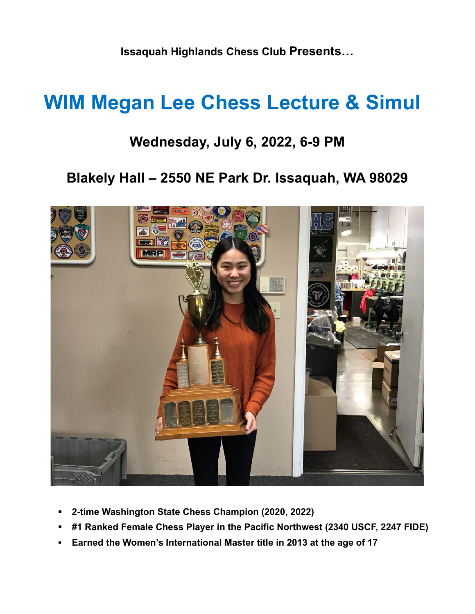**Issaquah Highlands Chess Club Presents…**

## **WIM Megan Lee Chess Lecture & Simul**

## **Wednesday, July 6, 2022, 6-9 PM**

## **Blakely Hall – 2550 NE Park Dr. Issaquah, WA 98029**



- **2-time Washington State Chess Champion (2020, 2022)**
- **#1 Ranked Female Chess Player in the Pacific Northwest (2340 USCF, 2247 FIDE)**
- **Earned the Women's International Master title in 2013 at the age of 17**